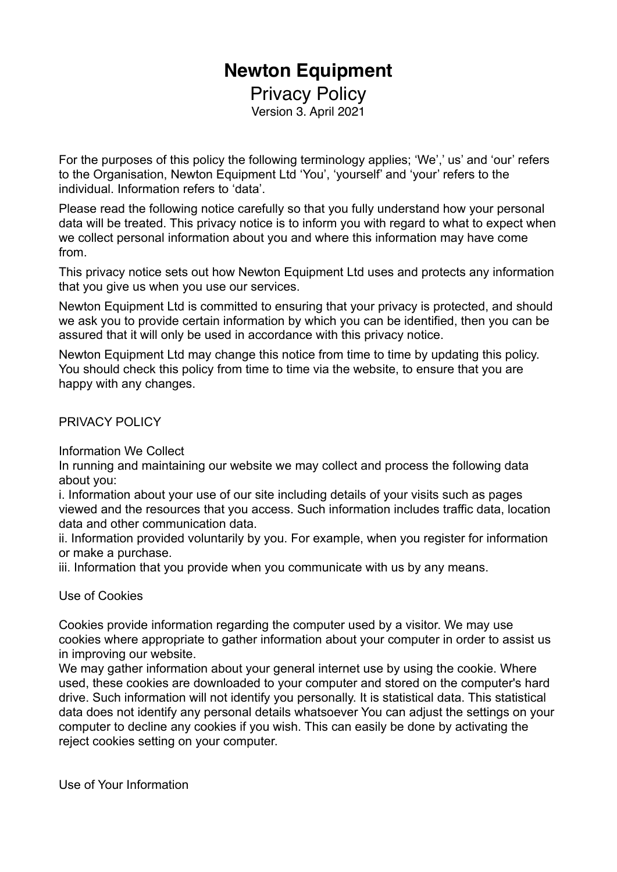# **Newton Equipment**

Privacy Policy Version 3. April 2021

For the purposes of this policy the following terminology applies; 'We',' us' and 'our' refers to the Organisation, Newton Equipment Ltd 'You', 'yourself' and 'your' refers to the individual. Information refers to 'data'.

Please read the following notice carefully so that you fully understand how your personal data will be treated. This privacy notice is to inform you with regard to what to expect when we collect personal information about you and where this information may have come from.

This privacy notice sets out how Newton Equipment Ltd uses and protects any information that you give us when you use our services.

Newton Equipment Ltd is committed to ensuring that your privacy is protected, and should we ask you to provide certain information by which you can be identified, then you can be assured that it will only be used in accordance with this privacy notice.

Newton Equipment Ltd may change this notice from time to time by updating this policy. You should check this policy from time to time via the website, to ensure that you are happy with any changes.

PRIVACY POLICY

Information We Collect

In running and maintaining our website we may collect and process the following data about you:

i. Information about your use of our site including details of your visits such as pages viewed and the resources that you access. Such information includes traffic data, location data and other communication data.

ii. Information provided voluntarily by you. For example, when you register for information or make a purchase.

iii. Information that you provide when you communicate with us by any means.

Use of Cookies

Cookies provide information regarding the computer used by a visitor. We may use cookies where appropriate to gather information about your computer in order to assist us in improving our website.

We may gather information about your general internet use by using the cookie. Where used, these cookies are downloaded to your computer and stored on the computer's hard drive. Such information will not identify you personally. It is statistical data. This statistical data does not identify any personal details whatsoever You can adjust the settings on your computer to decline any cookies if you wish. This can easily be done by activating the reject cookies setting on your computer.

Use of Your Information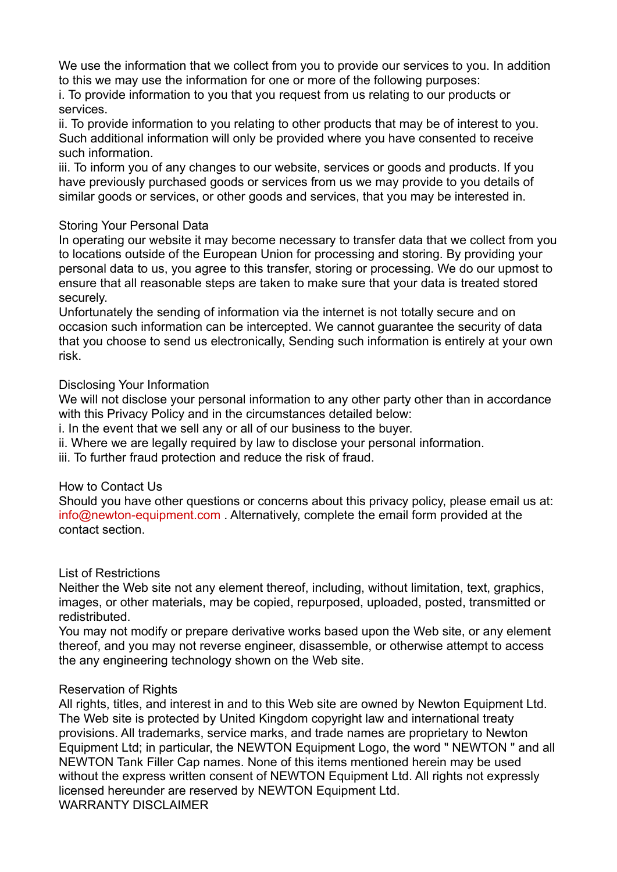We use the information that we collect from you to provide our services to you. In addition to this we may use the information for one or more of the following purposes:

i. To provide information to you that you request from us relating to our products or services.

ii. To provide information to you relating to other products that may be of interest to you. Such additional information will only be provided where you have consented to receive such information.

iii. To inform you of any changes to our website, services or goods and products. If you have previously purchased goods or services from us we may provide to you details of similar goods or services, or other goods and services, that you may be interested in.

## Storing Your Personal Data

In operating our website it may become necessary to transfer data that we collect from you to locations outside of the European Union for processing and storing. By providing your personal data to us, you agree to this transfer, storing or processing. We do our upmost to ensure that all reasonable steps are taken to make sure that your data is treated stored securely.

Unfortunately the sending of information via the internet is not totally secure and on occasion such information can be intercepted. We cannot guarantee the security of data that you choose to send us electronically, Sending such information is entirely at your own risk.

## Disclosing Your Information

We will not disclose your personal information to any other party other than in accordance with this Privacy Policy and in the circumstances detailed below:

i. In the event that we sell any or all of our business to the buyer.

ii. Where we are legally required by law to disclose your personal information.

iii. To further fraud protection and reduce the risk of fraud.

#### How to Contact Us

Should you have other questions or concerns about this privacy policy, please email us at: [info@newton-equipment.com](mailto:info@newton-equipment.com) . Alternatively, complete the email form provided at the contact section.

#### List of Restrictions

Neither the Web site not any element thereof, including, without limitation, text, graphics, images, or other materials, may be copied, repurposed, uploaded, posted, transmitted or redistributed.

You may not modify or prepare derivative works based upon the Web site, or any element thereof, and you may not reverse engineer, disassemble, or otherwise attempt to access the any engineering technology shown on the Web site.

#### Reservation of Rights

All rights, titles, and interest in and to this Web site are owned by Newton Equipment Ltd. The Web site is protected by United Kingdom copyright law and international treaty provisions. All trademarks, service marks, and trade names are proprietary to Newton Equipment Ltd; in particular, the NEWTON Equipment Logo, the word " NEWTON " and all NEWTON Tank Filler Cap names. None of this items mentioned herein may be used without the express written consent of NEWTON Equipment Ltd. All rights not expressly licensed hereunder are reserved by NEWTON Equipment Ltd. WARRANTY DISCLAIMER